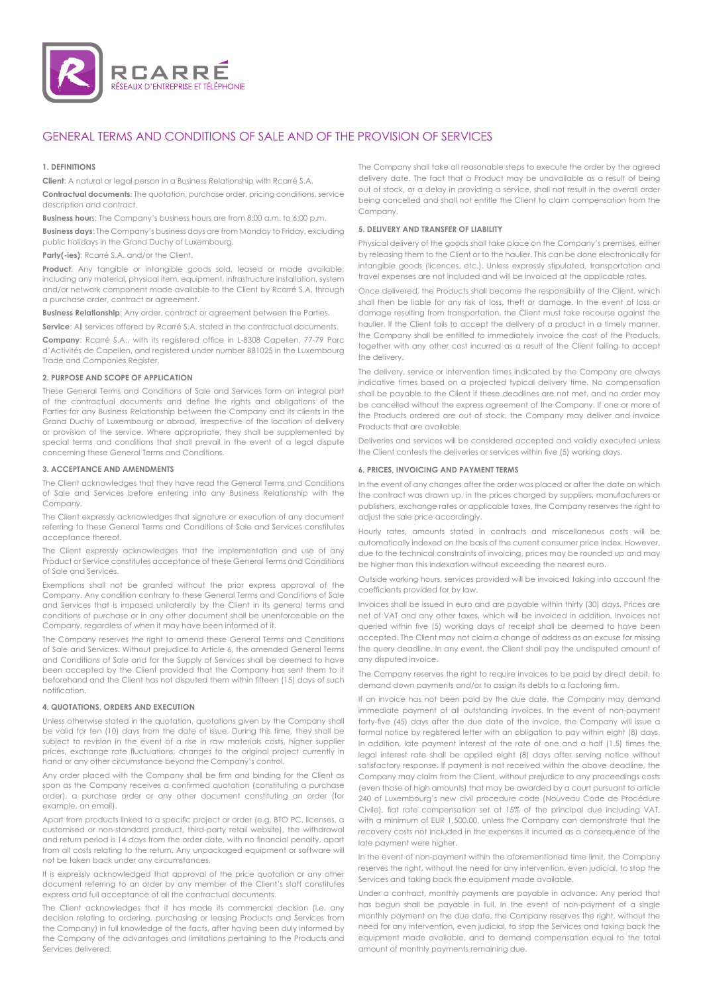

# GENERAL TERMS AND CONDITIONS OF SALE AND OF THE PROVISION OF SERVICES

### **1. DEFINITIONS**

**Client**: A natural or legal person in a Business Relationship with Rcarré S.A.

**Contractual documents**: The quotation, purchase order, pricing conditions, service description and contract.

**Business hour**s: The Company's business hours are from 8:00 a.m. to 6:00 p.m.

**Business days**: The Company's business days are from Monday to Friday, excluding public holidays in the Grand Duchy of Luxembourg.

Party(-ies): Rcarré S.A. and/or the Client.

**Product:** Any tangible or intangible goods sold, leased or made available; including any material, physical item, equipment, infrastructure installation, system and/or network component made available to the Client by Rcarré S.A. through a purchase order, contract or agreement.

**Business Relationship**: Any order, contract or agreement between the Parties.

**Service:** All services offered by Rcarré S.A. stated in the contractual documents.

**Company**: Rcarré S.A., with its registered office in L-8308 Capellen, 77-79 Parc d'Activités de Capellen, and registered under number B81025 in the Luxembourg Trade and Companies Register.

### **2. PURPOSE AND SCOPE OF APPLICATION**

These General Terms and Conditions of Sale and Services form an integral part of the contractual documents and define the rights and obligations of the Parties for any Business Relationship between the Company and its clients in the Grand Duchy of Luxembourg or abroad, irrespective of the location of delivery or provision of the service. Where appropriate, they shall be supplemented by special terms and conditions that shall prevail in the event of a legal dispute concerning these General Terms and Conditions.

# **3. ACCEPTANCE AND AMENDMENTS**

The Client acknowledges that they have read the General Terms and Conditions of Sale and Services before entering into any Business Relationship with the Company.

The Client expressly acknowledges that signature or execution of any document referring to these General Terms and Conditions of Sale and Services constitutes acceptance thereof.

The Client expressly acknowledges that the implementation and use of any Product or Service constitutes acceptance of these General Terms and Conditions of Sale and Services.

Exemptions shall not be granted without the prior express approval of the Company. Any condition contrary to these General Terms and Conditions of Sale and Services that is imposed unilaterally by the Client in its general terms and conditions of purchase or in any other document shall be unenforceable on the Company, regardless of when it may have been informed of it.

The Company reserves the right to amend these General Terms and Conditions of Sale and Services. Without prejudice to Article 6, the amended General Terms and Conditions of Sale and for the Supply of Services shall be deemed to have been accepted by the Client provided that the Company has sent them to it beforehand and the Client has not disputed them within fifteen (15) days of such notification.

### **4. QUOTATIONS, ORDERS AND EXECUTION**

Unless otherwise stated in the quotation, quotations given by the Company shall be valid for ten (10) days from the date of issue. During this time, they shall be subject to revision in the event of a rise in raw materials costs, higher supplier prices, exchange rate fluctuations, changes to the original project currently in hand or any other circumstance beyond the Company's control.

Any order placed with the Company shall be firm and binding for the Client as soon as the Company receives a confirmed quotation (constituting a purchase order), a purchase order or any other document constituting an order (for example, an email).

Apart from products linked to a specific project or order (e.g. BTO PC, licenses, a customised or non-standard product, third-party retail website), the withdrawal and return period is 14 days from the order date, with no financial penalty, apart from all costs relating to the return. Any unpackaged equipment or software will not be taken back under any circumstances.

It is expressly acknowledged that approval of the price quotation or any other document referring to an order by any member of the Client's staff constitutes express and full acceptance of all the contractual documents.

The Client acknowledges that it has made its commercial decision (i.e. any decision relating to ordering, purchasing or leasing Products and Services from the Company) in full knowledge of the facts, after having been duly informed by the Company of the advantages and limitations pertaining to the Products and Services delivered.

The Company shall take all reasonable steps to execute the order by the agreed delivery date. The fact that a Product may be unavailable as a result of being out of stock, or a delay in providing a service, shall not result in the overall order being cancelled and shall not entitle the Client to claim compensation from the Company.

# **5. DELIVERY AND TRANSFER OF LIABILITY**

Physical delivery of the goods shall take place on the Company's premises, either by releasing them to the Client or to the haulier. This can be done electronically for intangible goods (licences, etc.). Unless expressly stipulated, transportation and travel expenses are not included and will be invoiced at the applicable rates.

Once delivered, the Products shall become the responsibility of the Client, which shall then be liable for any risk of loss, theft or damage. In the event of loss or damage resulting from transportation, the Client must take recourse against the haulier. If the Client fails to accept the delivery of a product in a timely manner, the Company shall be entitled to immediately invoice the cost of the Products, together with any other cost incurred as a result of the Client failing to accept the delivery.

The delivery, service or intervention times indicated by the Company are always indicative times based on a projected typical delivery time. No compensation shall be payable to the Client if these deadlines are not met, and no order may be cancelled without the express agreement of the Company. If one or more of the Products ordered are out of stock, the Company may deliver and invoice Products that are available.

Deliveries and services will be considered accepted and validly executed unless the Client contests the deliveries or services within five (5) working days.

# **6. PRICES, INVOICING AND PAYMENT TERMS**

In the event of any changes after the order was placed or after the date on which the contract was drawn up, in the prices charged by suppliers, manufacturers or publishers, exchange rates or applicable taxes, the Company reserves the right to adjust the sale price accordingly.

Hourly rates, amounts stated in contracts and miscellaneous costs will be automatically indexed on the basis of the current consumer price index. However, due to the technical constraints of invoicing, prices may be rounded up and may be higher than this indexation without exceeding the nearest euro.

Outside working hours, services provided will be invoiced taking into account the coefficients provided for by law.

Invoices shall be issued in euro and are payable within thirty (30) days. Prices are net of VAT and any other taxes, which will be invoiced in addition. Invoices not queried within five (5) working days of receipt shall be deemed to have been accepted. The Client may not claim a change of address as an excuse for missing the query deadline. In any event, the Client shall pay the undisputed amount of any disputed invoice.

The Company reserves the right to require invoices to be paid by direct debit, to demand down payments and/or to assign its debts to a factoring firm.

If an invoice has not been paid by the due date, the Company may demand immediate payment of all outstanding invoices. In the event of non-payment forty-five (45) days after the due date of the invoice, the Company will issue a formal notice by registered letter with an obligation to pay within eight (8) days. In addition, late payment interest at the rate of one and a half (1.5) times the legal interest rate shall be applied eight (8) days after serving notice without satisfactory response. If payment is not received within the above deadline, the Company may claim from the Client, without prejudice to any proceedings costs (even those of high amounts) that may be awarded by a court pursuant to article 240 of Luxembourg's new civil procedure code (Nouveau Code de Procédure Civile), flat rate compensation set at 15% of the principal due including VAT, with a minimum of EUR 1,500.00, unless the Company can demonstrate that the recovery costs not included in the expenses it incurred as a consequence of the late payment were higher.

In the event of non-payment within the aforementioned time limit, the Company reserves the right, without the need for any intervention, even judicial, to stop the Services and taking back the equipment made available.

Under a contract, monthly payments are payable in advance. Any period that has begun shall be payable in full. In the event of non-payment of a single monthly payment on the due date, the Company reserves the right, without the need for any intervention, even judicial, to stop the Services and taking back the equipment made available, and to demand compensation equal to the total amount of monthly payments remaining due.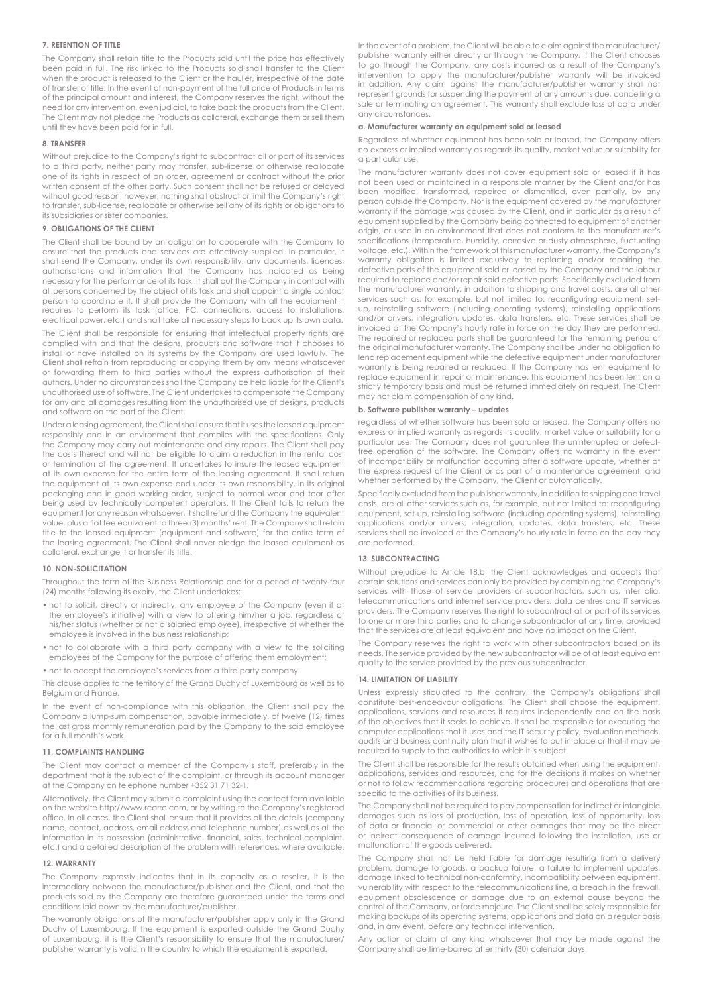# **7. RETENTION OF TITLE**

The Company shall retain title to the Products sold until the price has effectively been paid in full. The risk linked to the Products sold shall transfer to the Client when the product is released to the Client or the haulier, irrespective of the date of transfer of title. In the event of non-payment of the full price of Products in terms of the principal amount and interest, the Company reserves the right, without the need for any intervention, even judicial, to take back the products from the Client. The Client may not pledge the Products as collateral, exchange them or sell them until they have been paid for in full.

### **8. TRANSFER**

Without prejudice to the Company's right to subcontract all or part of its services to a third party, neither party may transfer, sub-license or otherwise reallocate one of its rights in respect of an order, agreement or contract without the prior written consent of the other party. Such consent shall not be refused or delayed without good reason; however, nothing shall obstruct or limit the Company's right to transfer, sub-license, reallocate or otherwise sell any of its rights or obligations to its subsidiaries or sister companies.

# **9. OBLIGATIONS OF THE CLIENT**

The Client shall be bound by an obligation to cooperate with the Company to ensure that the products and services are effectively supplied. In particular, it shall send the Company, under its own responsibility, any documents, licences, authorisations and information that the Company has indicated as being necessary for the performance of its task. It shall put the Company in contact with all persons concerned by the object of its task and shall appoint a single contact person to coordinate it. It shall provide the Company with all the equipment it requires to perform its task (office, PC, connections, access to installations, electrical power, etc.) and shall take all necessary steps to back up its own data.

The Client shall be responsible for ensuring that intellectual property rights are complied with and that the designs, products and software that it chooses to install or have installed on its systems by the Company are used lawfully. The Client shall refrain from reproducing or copying them by any means whatsoever or forwarding them to third parties without the express authorisation of their authors. Under no circumstances shall the Company be held liable for the Client's unauthorised use of software. The Client undertakes to compensate the Company for any and all damages resulting from the unauthorised use of designs, products and software on the part of the Client.

Under a leasing agreement, the Client shall ensure that it uses the leased equipment responsibly and in an environment that complies with the specifications. Only the Company may carry out maintenance and any repairs. The Client shall pay the costs thereof and will not be eligible to claim a reduction in the rental cost or termination of the agreement. It undertakes to insure the leased equipment at its own expense for the entire term of the leasing agreement. It shall return the equipment at its own expense and under its own responsibility, in its original packaging and in good working order, subject to normal wear and tear after being used by technically competent operators. If the Client fails to return the equipment for any reason whatsoever, it shall refund the Company the equivalent value, plus a flat fee equivalent to three (3) months' rent. The Company shall retain title to the leased equipment (equipment and software) for the entire term of the leasing agreement. The Client shall never pledge the leased equipment as collateral, exchange it or transfer its title.

# **10. NON-SOLICITATION**

Throughout the term of the Business Relationship and for a period of twenty-four (24) months following its expiry, the Client undertakes:

- not to solicit, directly or indirectly, any employee of the Company (even if at the employee's initiative) with a view to offering him/her a job, regardless of his/her status (whether or not a salaried employee), irrespective of whether the employee is involved in the business relationship;
- not to collaborate with a third party company with a view to the soliciting employees of the Company for the purpose of offering them employment;
- not to accept the employee's services from a third party company.

This clause applies to the territory of the Grand Duchy of Luxembourg as well as to Belgium and France.

In the event of non-compliance with this obligation, the Client shall pay the Company a lump-sum compensation, payable immediately, of twelve (12) times the last gross monthly remuneration paid by the Company to the said employee for a full month's work.

# **11. COMPLAINTS HANDLING**

The Client may contact a member of the Company's staff, preferably in the department that is the subject of the complaint, or through its account manager at the Company on telephone number +352 31 71 32-1.

Alternatively, the Client may submit a complaint using the contact form available on the website http://www.rcarre.com, or by writing to the Company's registered office. In all cases, the Client shall ensure that it provides all the details (company name, contact, address, email address and telephone number) as well as all the information in its possession (administrative, financial, sales, technical complaint, etc.) and a detailed description of the problem with references, where available.

### **12. WARRANTY**

The Company expressly indicates that in its capacity as a reseller, it is the intermediary between the manufacturer/publisher and the Client, and that the products sold by the Company are therefore guaranteed under the terms and conditions laid down by the manufacturer/publisher.

The warranty obligations of the manufacturer/publisher apply only in the Grand Duchy of Luxembourg. If the equipment is exported outside the Grand Duchy of Luxembourg, it is the Client's responsibility to ensure that the manufacturer/ publisher warranty is valid in the country to which the equipment is exported.

In the event of a problem, the Client will be able to claim against the manufacturer/ publisher warranty either directly or through the Company. If the Client chooses to go through the Company, any costs incurred as a result of the Company's intervention to apply the manufacturer/publisher warranty will be invoiced in addition. Any claim against the manufacturer/publisher warranty shall not represent grounds for suspending the payment of any amounts due, cancelling a sale or terminating an agreement. This warranty shall exclude loss of data under any circumstances.

### **a. Manufacturer warranty on equipment sold or leased**

Regardless of whether equipment has been sold or leased, the Company offers no express or implied warranty as regards its quality, market value or suitability for a particular use.

The manufacturer warranty does not cover equipment sold or leased if it has not been used or maintained in a responsible manner by the Client and/or has been modified, transformed, repaired or dismantled, even partially, by any person outside the Company. Nor is the equipment covered by the manufacturer warranty if the damage was caused by the Client, and in particular as a result of equipment supplied by the Company being connected to equipment of another origin, or used in an environment that does not conform to the manufacturer's specifications (temperature, humidity, corrosive or dusty atmosphere, fluctuating voltage, etc.). Within the framework of this manufacturer warranty, the Company's warranty obligation is limited exclusively to replacing and/or repairing the defective parts of the equipment sold or leased by the Company and the labour required to replace and/or repair said defective parts. Specifically excluded from the manufacturer warranty, in addition to shipping and travel costs, are all other services such as, for example, but not limited to: reconfiguring equipment, setup, reinstalling software (including operating systems), reinstalling applications and/or drivers, integration, updates, data transfers, etc. These services shall be invoiced at the Company's hourly rate in force on the day they are performed. The repaired or replaced parts shall be guaranteed for the remaining period of the original manufacturer warranty. The Company shall be under no obligation to lend replacement equipment while the defective equipment under manufacturer warranty is being repaired or replaced. If the Company has lent equipment to replace equipment in repair or maintenance, this equipment has been lent on a strictly temporary basis and must be returned immediately on request. The Client may not claim compensation of any kind.

### **b. Software publisher warranty – updates**

regardless of whether software has been sold or leased, the Company offers no express or implied warranty as regards its quality, market value or suitability for a particular use. The Company does not guarantee the uninterrupted or defectfree operation of the software. The Company offers no warranty in the event of incompatibility or malfunction occurring after a software update, whether at the express request of the Client or as part of a maintenance agreement, and whether performed by the Company, the Client or automatically.

Specifically excluded from the publisher warranty, in addition to shipping and travel costs, are all other services such as, for example, but not limited to: reconfiguring equipment, set-up, reinstalling software (including operating systems), reinstalling applications and/or drivers, integration, updates, data transfers, etc. These services shall be invoiced at the Company's hourly rate in force on the day they are performed.

# **13. SUBCONTRACTING**

Without prejudice to Article 18.b, the Client acknowledges and accepts that certain solutions and services can only be provided by combining the Company's services with those of service providers or subcontractors, such as, inter alia, telecommunications and internet service providers, data centres and IT services providers. The Company reserves the right to subcontract all or part of its services to one or more third parties and to change subcontractor at any time, provided that the services are at least equivalent and have no impact on the Client.

The Company reserves the right to work with other subcontractors based on its needs. The service provided by the new subcontractor will be of at least equivalent quality to the service provided by the previous subcontractor.

# **14. LIMITATION OF LIABILITY**

Unless expressly stipulated to the contrary, the Company's obligations shall constitute best-endeavour obligations. The Client shall choose the equipment, applications, services and resources it requires independently and on the basis of the objectives that it seeks to achieve. It shall be responsible for executing the computer applications that it uses and the IT security policy, evaluation methods, audits and business continuity plan that it wishes to put in place or that it may be required to supply to the authorities to which it is subject.

The Client shall be responsible for the results obtained when using the equipment, applications, services and resources, and for the decisions it makes on whether or not to follow recommendations regarding procedures and operations that are specific to the activities of its business.

The Company shall not be required to pay compensation for indirect or intangible damages such as loss of production, loss of operation, loss of opportunity, loss of data or financial or commercial or other damages that may be the direct or indirect consequence of damage incurred following the installation, use or malfunction of the goods delivered.

The Company shall not be held liable for damage resulting from a delivery problem, damage to goods, a backup failure, a failure to implement updates, damage linked to technical non-conformity, incompatibility between equipment, vulnerability with respect to the telecommunications line, a breach in the firewall, equipment obsolescence or damage due to an external cause beyond the control of the Company, or force majeure. The Client shall be solely responsible for making backups of its operating systems, applications and data on a regular basis and, in any event, before any technical intervention.

Any action or claim of any kind whatsoever that may be made against the Company shall be time-barred after thirty (30) calendar days.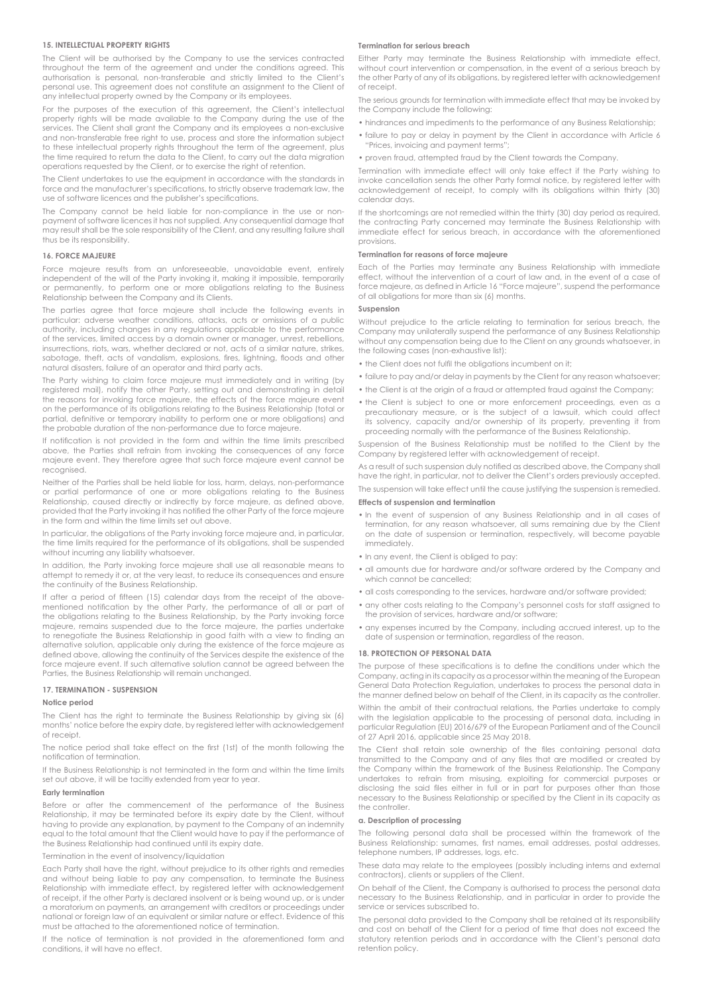# **15. INTELLECTUAL PROPERTY RIGHTS**

The Client will be authorised by the Company to use the services contracted throughout the term of the agreement and under the conditions agreed. This authorisation is personal, non-transferable and strictly limited to the Client's personal use. This agreement does not constitute an assignment to the Client of any intellectual property owned by the Company or its employees.

For the purposes of the execution of this agreement, the Client's intellectual property rights will be made available to the Company during the use of the services. The Client shall grant the Company and its employees a non-exclusive and non-transferable free right to use, process and store the information subject to these intellectual property rights throughout the term of the agreement, plus the time required to return the data to the Client, to carry out the data migration operations requested by the Client, or to exercise the right of retention.

The Client undertakes to use the equipment in accordance with the standards in force and the manufacturer's specifications, to strictly observe trademark law, the use of software licences and the publisher's specifications.

The Company cannot be held liable for non-compliance in the use or nonpayment of software licences it has not supplied. Any consequential damage that may result shall be the sole responsibility of the Client, and any resulting failure shall thus be its responsibility.

#### **16. FORCE MAJEURE**

Force majeure results from an unforeseeable, unavoidable event, entirely independent of the will of the Party invoking it, making it impossible, temporarily or permanently, to perform one or more obligations relating to the Business Relationship between the Company and its Clients.

The parties agree that force majeure shall include the following events in particular: adverse weather conditions, attacks, acts or omissions of a public authority, including changes in any regulations applicable to the performance of the services, limited access by a domain owner or manager, unrest, rebellions, insurrections, riots, wars, whether declared or not, acts of a similar nature, strikes, sabotage, theft, acts of vandalism, explosions, fires, lightning, floods and other natural disasters, failure of an operator and third party acts.

The Party wishing to claim force majeure must immediately and in writing (by registered mail), notify the other Party, setting out and demonstrating in detail the reasons for invoking force majeure, the effects of the force majeure event on the performance of its obligations relating to the Business Relationship (total or partial, definitive or temporary inability to perform one or more obligations) and the probable duration of the non-performance due to force majeure.

If notification is not provided in the form and within the time limits prescribed above, the Parties shall refrain from invoking the consequences of any force majeure event. They therefore agree that such force majeure event cannot be recognised.

Neither of the Parties shall be held liable for loss, harm, delays, non-performance or partial performance of one or more obligations relating to the Business Relationship, caused directly or indirectly by force majeure, as defined above, provided that the Party invoking it has notified the other Party of the force majeure in the form and within the time limits set out above.

In particular, the obligations of the Party invoking force majeure and, in particular, the time limits required for the performance of its obligations, shall be suspended without incurring any liability whatsoever.

In addition, the Party invoking force majeure shall use all reasonable means to attempt to remedy it or, at the very least, to reduce its consequences and ensure the continuity of the Business Relationship.

If after a period of fifteen (15) calendar days from the receipt of the abovementioned notification by the other Party, the performance of all or part of the obligations relating to the Business Relationship, by the Party invoking force majeure, remains suspended due to the force majeure, the parties undertake to renegotiate the Business Relationship in good faith with a view to finding an alternative solution, applicable only during the existence of the force majeure as defined above, allowing the continuity of the Services despite the existence of the force majeure event. If such alternative solution cannot be agreed between the Parties, the Business Relationship will remain unchanged.

### **17. TERMINATION - SUSPENSION**

### **Notice period**

The Client has the right to terminate the Business Relationship by giving six (6) months' notice before the expiry date, by registered letter with acknowledgement of receipt.

The notice period shall take effect on the first (1st) of the month following the notification of termination.

If the Business Relationship is not terminated in the form and within the time limits set out above, it will be tacitly extended from year to year.

### **Early termination**

Before or after the commencement of the performance of the Business Relationship, it may be terminated before its expiry date by the Client, without having to provide any explanation, by payment to the Company of an indemnity equal to the total amount that the Client would have to pay if the performance of the Business Relationship had continued until its expiry date.

Termination in the event of insolvency/liquidation

Each Party shall have the right, without prejudice to its other rights and remedies and without being liable to pay any compensation, to terminate the Business Relationship with immediate effect, by registered letter with acknowledgement of receipt, if the other Party is declared insolvent or is being wound up, or is under a moratorium on payments, an arrangement with creditors or proceedings under national or foreign law of an equivalent or similar nature or effect. Evidence of this must be attached to the aforementioned notice of termination.

If the notice of termination is not provided in the aforementioned form and conditions, it will have no effect.

### **Termination for serious breach**

Either Party may terminate the Business Relationship with immediate effect, without court intervention or compensation, in the event of a serious breach by the other Party of any of its obligations, by registered letter with acknowledgement of receipt.

The serious grounds for termination with immediate effect that may be invoked by the Company include the following:

- hindrances and impediments to the performance of any Business Relationship;
	- failure to pay or delay in payment by the Client in accordance with Article 6 "Prices, invoicing and payment terms";
	- proven fraud, attempted fraud by the Client towards the Company.

Termination with immediate effect will only take effect if the Party wishing to invoke cancellation sends the other Party formal notice, by registered letter with acknowledgement of receipt, to comply with its obligations within thirty (30) calendar days.

If the shortcomings are not remedied within the thirty (30) day period as required, the contracting Party concerned may terminate the Business Relationship with immediate effect for serious breach, in accordance with the aforementioned provisions.

# **Termination for reasons of force majeure**

Each of the Parties may terminate any Business Relationship with immediate effect, without the intervention of a court of law and, in the event of a case of force majeure, as defined in Article 16 "Force majeure", suspend the performance of all obligations for more than six (6) months.

### **Suspension**

Without prejudice to the article relating to termination for serious breach, the Company may unilaterally suspend the performance of any Business Relationship without any compensation being due to the Client on any grounds whatsoever, in the following cases (non-exhaustive list):

- the Client does not fulfil the obligations incumbent on it;
- failure to pay and/or delay in payments by the Client for any reason whatsoever;
- the Client is at the origin of a fraud or attempted fraud against the Company;
- the Client is subject to one or more enforcement proceedings, even as a precautionary measure, or is the subject of a lawsuit, which could affect its solvency, capacity and/or ownership of its property, preventing it from proceeding normally with the performance of the Business Relationship.

Suspension of the Business Relationship must be notified to the Client by the Company by registered letter with acknowledgement of receipt.

As a result of such suspension duly notified as described above, the Company shall have the right, in particular, not to deliver the Client's orders previously accepted.

The suspension will take effect until the cause justifying the suspension is remedied.

# **Effects of suspension and termination**

- In the event of suspension of any Business Relationship and in all cases of termination, for any reason whatsoever, all sums remaining due by the Client on the date of suspension or termination, respectively, will become payable immediately.
- In any event, the Client is obliged to pay:
- all amounts due for hardware and/or software ordered by the Company and which cannot be cancelled;
- all costs corresponding to the services, hardware and/or software provided;
- any other costs relating to the Company's personnel costs for staff assigned to the provision of services, hardware and/or software;
- any expenses incurred by the Company, including accrued interest, up to the date of suspension or termination, regardless of the reason.

### **18. PROTECTION OF PERSONAL DATA**

The purpose of these specifications is to define the conditions under which the Company, acting in its capacity as a processor within the meaning of the European General Data Protection Regulation, undertakes to process the personal data in the manner defined below on behalf of the Client, in its capacity as the controller.

Within the ambit of their contractual relations, the Parties undertake to comply with the legislation applicable to the processing of personal data, including in particular Regulation (EU) 2016/679 of the European Parliament and of the Council of 27 April 2016, applicable since 25 May 2018.

The Client shall retain sole ownership of the files containing personal data transmitted to the Company and of any files that are modified or created by the Company within the framework of the Business Relationship. The Company undertakes to refrain from misusing, exploiting for commercial purposes or disclosing the said files either in full or in part for purposes other than those necessary to the Business Relationship or specified by the Client in its capacity as the controller.

# **a. Description of processing**

The following personal data shall be processed within the framework of the Business Relationship: surnames, first names, email addresses, postal addresses, telephone numbers, IP addresses, logs, etc.

These data may relate to the employees (possibly including interns and external contractors), clients or suppliers of the Client.

On behalf of the Client, the Company is authorised to process the personal data necessary to the Business Relationship, and in particular in order to provide the service or services subscribed to.

The personal data provided to the Company shall be retained at its responsibility and cost on behalf of the Client for a period of time that does not exceed the statutory retention periods and in accordance with the Client's personal data retention policy.